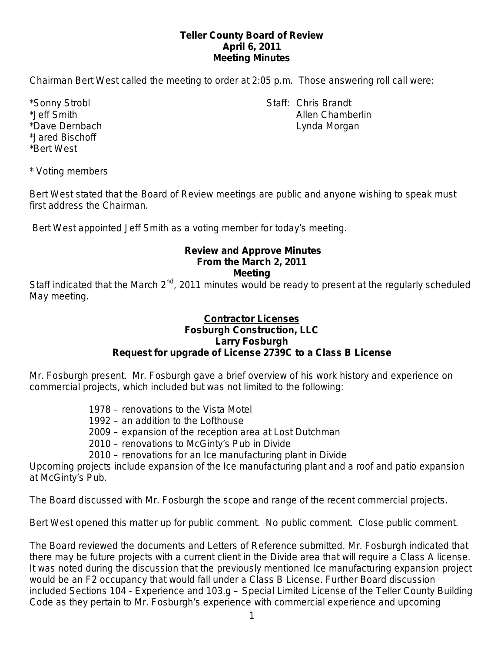# **Teller County Board of Review April 6, 2011 Meeting Minutes**

Chairman Bert West called the meeting to order at 2:05 p.m. Those answering roll call were:

\*Jared Bischoff \*Bert West

\*Sonny Strobl Staff: Chris Brandt \*Jeff Smith Allen Chamberlin \*Dave Dernbach **Lynda Morgan** Lynda Morgan

\* Voting members

Bert West stated that the Board of Review meetings are public and anyone wishing to speak must first address the Chairman.

Bert West appointed Jeff Smith as a voting member for today's meeting.

#### **Review and Approve Minutes From the March 2, 2011 Meeting**

Staff indicated that the March  $2^{nd}$ , 2011 minutes would be ready to present at the regularly scheduled May meeting.

### **Contractor Licenses Fosburgh Construction, LLC Larry Fosburgh Request for upgrade of License 2739C to a Class B License**

Mr. Fosburgh present. Mr. Fosburgh gave a brief overview of his work history and experience on commercial projects, which included but was not limited to the following:

- 1978 renovations to the Vista Motel
- 1992 an addition to the Lofthouse
- 2009 expansion of the reception area at Lost Dutchman
- 2010 renovations to McGinty's Pub in Divide
- 2010 renovations for an Ice manufacturing plant in Divide

Upcoming projects include expansion of the Ice manufacturing plant and a roof and patio expansion at McGinty's Pub.

The Board discussed with Mr. Fosburgh the scope and range of the recent commercial projects.

Bert West opened this matter up for public comment. No public comment. Close public comment.

The Board reviewed the documents and Letters of Reference submitted. Mr. Fosburgh indicated that there may be future projects with a current client in the Divide area that will require a Class A license. It was noted during the discussion that the previously mentioned Ice manufacturing expansion project would be an F2 occupancy that would fall under a Class B License. Further Board discussion included Sections 104 - Experience and 103.g – Special Limited License of the Teller County Building Code as they pertain to Mr. Fosburgh's experience with commercial experience and upcoming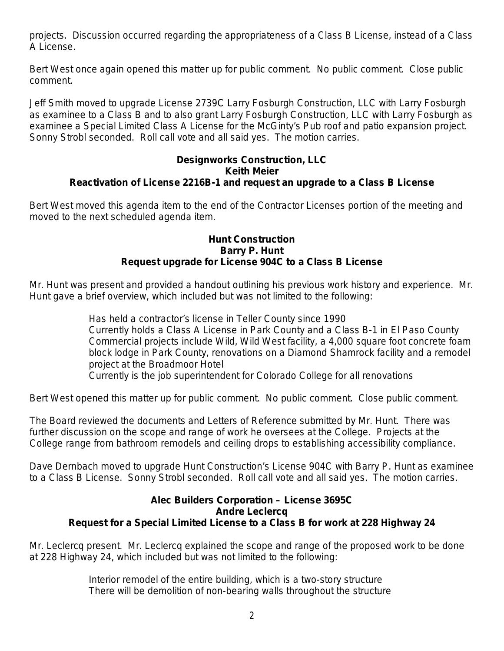projects. Discussion occurred regarding the appropriateness of a Class B License, instead of a Class A License.

Bert West once again opened this matter up for public comment. No public comment. Close public comment.

Jeff Smith moved to upgrade License 2739C Larry Fosburgh Construction, LLC with Larry Fosburgh as examinee to a Class B and to also grant Larry Fosburgh Construction, LLC with Larry Fosburgh as examinee a Special Limited Class A License for the McGinty's Pub roof and patio expansion project. Sonny Strobl seconded. Roll call vote and all said yes. The motion carries.

#### **Designworks Construction, LLC Keith Meier Reactivation of License 2216B-1 and request an upgrade to a Class B License**

Bert West moved this agenda item to the end of the Contractor Licenses portion of the meeting and moved to the next scheduled agenda item.

#### **Hunt Construction Barry P. Hunt Request upgrade for License 904C to a Class B License**

Mr. Hunt was present and provided a handout outlining his previous work history and experience. Mr. Hunt gave a brief overview, which included but was not limited to the following:

> Has held a contractor's license in Teller County since 1990 Currently holds a Class A License in Park County and a Class B-1 in El Paso County Commercial projects include Wild, Wild West facility, a 4,000 square foot concrete foam block lodge in Park County, renovations on a Diamond Shamrock facility and a remodel project at the Broadmoor Hotel

Currently is the job superintendent for Colorado College for all renovations

Bert West opened this matter up for public comment. No public comment. Close public comment.

The Board reviewed the documents and Letters of Reference submitted by Mr. Hunt. There was further discussion on the scope and range of work he oversees at the College. Projects at the College range from bathroom remodels and ceiling drops to establishing accessibility compliance.

Dave Dernbach moved to upgrade Hunt Construction's License 904C with Barry P. Hunt as examinee to a Class B License. Sonny Strobl seconded. Roll call vote and all said yes. The motion carries.

### **Alec Builders Corporation – License 3695C Andre Leclercq Request for a Special Limited License to a Class B for work at 228 Highway 24**

Mr. Leclercq present. Mr. Leclercq explained the scope and range of the proposed work to be done at 228 Highway 24, which included but was not limited to the following:

> Interior remodel of the entire building, which is a two-story structure There will be demolition of non-bearing walls throughout the structure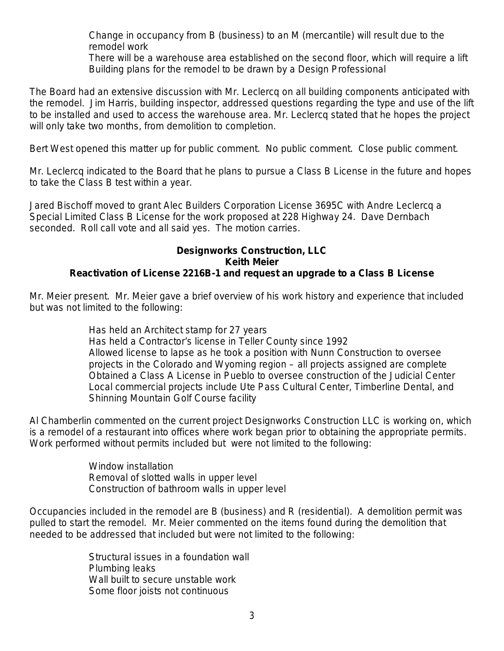Change in occupancy from B (business) to an M (mercantile) will result due to the remodel work

There will be a warehouse area established on the second floor, which will require a lift Building plans for the remodel to be drawn by a Design Professional

The Board had an extensive discussion with Mr. Leclercq on all building components anticipated with the remodel. Jim Harris, building inspector, addressed questions regarding the type and use of the lift to be installed and used to access the warehouse area. Mr. Leclercq stated that he hopes the project will only take two months, from demolition to completion.

Bert West opened this matter up for public comment. No public comment. Close public comment.

Mr. Leclercq indicated to the Board that he plans to pursue a Class B License in the future and hopes to take the Class B test within a year.

Jared Bischoff moved to grant Alec Builders Corporation License 3695C with Andre Leclercq a Special Limited Class B License for the work proposed at 228 Highway 24. Dave Dernbach seconded. Roll call vote and all said yes. The motion carries.

#### **Designworks Construction, LLC Keith Meier Reactivation of License 2216B-1 and request an upgrade to a Class B License**

Mr. Meier present. Mr. Meier gave a brief overview of his work history and experience that included but was not limited to the following:

> Has held an Architect stamp for 27 years Has held a Contractor's license in Teller County since 1992 Allowed license to lapse as he took a position with Nunn Construction to oversee projects in the Colorado and Wyoming region – all projects assigned are complete Obtained a Class A License in Pueblo to oversee construction of the Judicial Center Local commercial projects include Ute Pass Cultural Center, Timberline Dental, and Shinning Mountain Golf Course facility

Al Chamberlin commented on the current project Designworks Construction LLC is working on, which is a remodel of a restaurant into offices where work began prior to obtaining the appropriate permits. Work performed without permits included but were not limited to the following:

> Window installation Removal of slotted walls in upper level Construction of bathroom walls in upper level

Occupancies included in the remodel are B (business) and R (residential). A demolition permit was pulled to start the remodel. Mr. Meier commented on the items found during the demolition that needed to be addressed that included but were not limited to the following:

> Structural issues in a foundation wall Plumbing leaks Wall built to secure unstable work Some floor joists not continuous